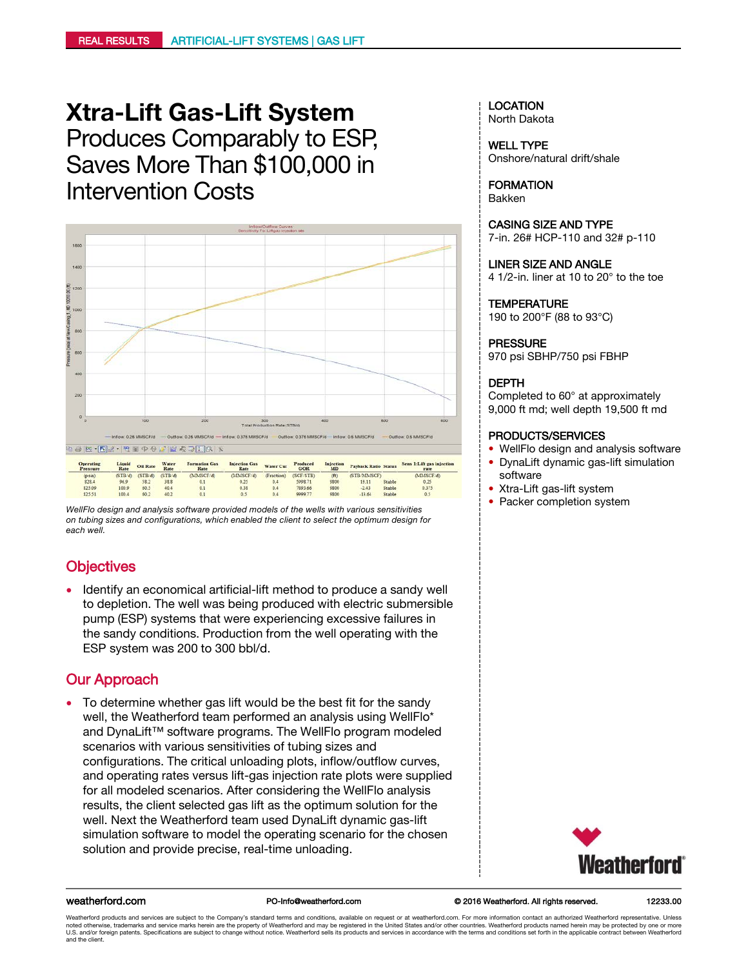# **Xtra-Lift Gas-Lift System** Produces Comparably to ESP, Saves More Than \$100,000 in Intervention Costs



*on tubing sizes and configurations, which enabled the client to select the optimum design for each well.*

# **Objectives**

• Identify an economical artificial-lift method to produce a sandy well to depletion. The well was being produced with electric submersible pump (ESP) systems that were experiencing excessive failures in the sandy conditions. Production from the well operating with the ESP system was 200 to 300 bbl/d.

# Our Approach

• To determine whether gas lift would be the best fit for the sandy well, the Weatherford team performed an analysis using WellFlo\* and DynaLift™ software programs. The WellFlo program modeled scenarios with various sensitivities of tubing sizes and configurations. The critical unloading plots, inflow/outflow curves, and operating rates versus lift-gas injection rate plots were supplied for all modeled scenarios. After considering the WellFlo analysis results, the client selected gas lift as the optimum solution for the well. Next the Weatherford team used DynaLift dynamic gas-lift simulation software to model the operating scenario for the chosen solution and provide precise, real-time unloading.

# LOCATION

North Dakota

WELL TYPE Onshore/natural drift/shale

FORMATION Bakken

CASING SIZE AND TYPE 7-in. 26# HCP-110 and 32# p-110

LINER SIZE AND ANGLE 4 1/2-in. liner at 10 to 20° to the toe

### **TEMPERATURE**

190 to 200°F (88 to 93°C)

### PRESSURE

970 psi SBHP/750 psi FBHP

### DEPTH

Completed to 60° at approximately 9,000 ft md; well depth 19,500 ft md

### PRODUCTS/SERVICES

- WellFlo design and analysis software • DynaLift dynamic gas-lift simulation
- software
- Xtra-Lift gas-lift system
- 



### weatherford.com © 2016 Weatherford. All rights reserved. PO-Info@weatherford.com 12233.00

Weatherford products and services are subject to the Company's standard terms and conditions, available on request or at weatherford.com. For more information contact an authorized Weatherford representative. Unless noted otherwise, trademarks and service marks herein are the property of Weatherford and may be registered in the United States and/or other countries. Weatherford products named herein may be protected by one or more<br>U.S. and the client.